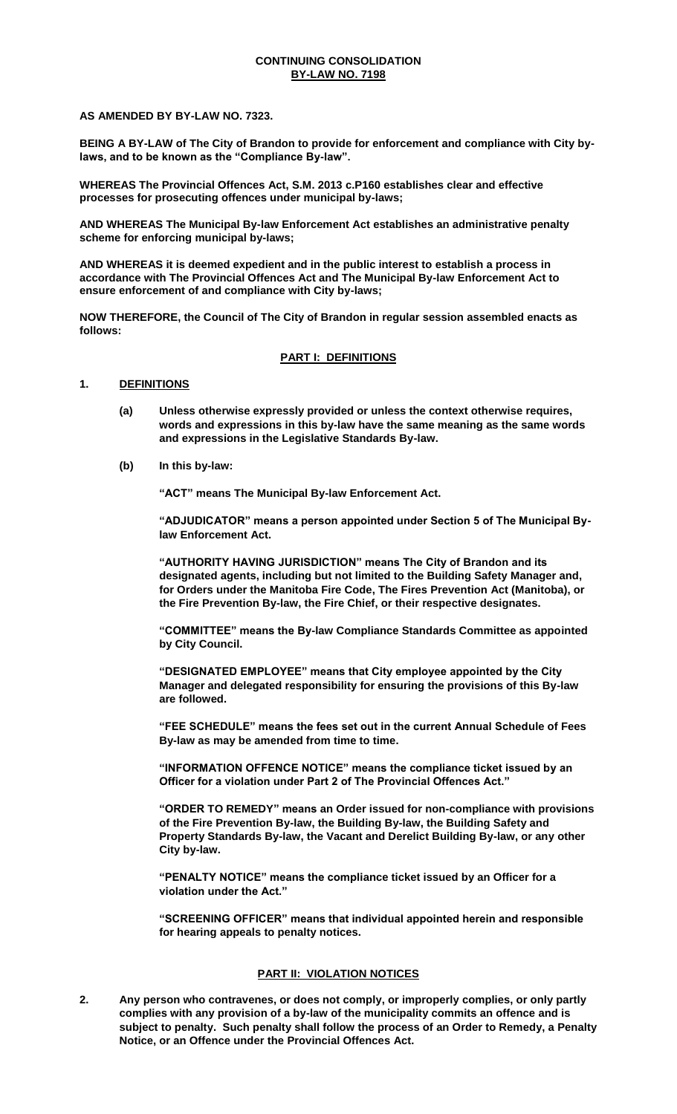### **CONTINUING CONSOLIDATION BY-LAW NO. 7198**

**AS AMENDED BY BY-LAW NO. 7323.**

**BEING A BY-LAW of The City of Brandon to provide for enforcement and compliance with City bylaws, and to be known as the "Compliance By-law".** 

**WHEREAS The Provincial Offences Act, S.M. 2013 c.P160 establishes clear and effective processes for prosecuting offences under municipal by-laws;** 

**AND WHEREAS The Municipal By-law Enforcement Act establishes an administrative penalty scheme for enforcing municipal by-laws;** 

**AND WHEREAS it is deemed expedient and in the public interest to establish a process in accordance with The Provincial Offences Act and The Municipal By-law Enforcement Act to ensure enforcement of and compliance with City by-laws;** 

**NOW THEREFORE, the Council of The City of Brandon in regular session assembled enacts as follows:** 

### **PART I: DEFINITIONS**

### **1. DEFINITIONS**

- **(a) Unless otherwise expressly provided or unless the context otherwise requires, words and expressions in this by-law have the same meaning as the same words and expressions in the Legislative Standards By-law.**
- **(b) In this by-law:**

**"ACT" means The Municipal By-law Enforcement Act.** 

**"ADJUDICATOR" means a person appointed under Section 5 of The Municipal Bylaw Enforcement Act.** 

**"AUTHORITY HAVING JURISDICTION" means The City of Brandon and its designated agents, including but not limited to the Building Safety Manager and, for Orders under the Manitoba Fire Code, The Fires Prevention Act (Manitoba), or the Fire Prevention By-law, the Fire Chief, or their respective designates.** 

**"COMMITTEE" means the By-law Compliance Standards Committee as appointed by City Council.** 

**"DESIGNATED EMPLOYEE" means that City employee appointed by the City Manager and delegated responsibility for ensuring the provisions of this By-law are followed.** 

**"FEE SCHEDULE" means the fees set out in the current Annual Schedule of Fees By-law as may be amended from time to time.** 

**"INFORMATION OFFENCE NOTICE" means the compliance ticket issued by an Officer for a violation under Part 2 of The Provincial Offences Act."**

**"ORDER TO REMEDY" means an Order issued for non-compliance with provisions of the Fire Prevention By-law, the Building By-law, the Building Safety and Property Standards By-law, the Vacant and Derelict Building By-law, or any other City by-law.** 

**"PENALTY NOTICE" means the compliance ticket issued by an Officer for a violation under the Act."** 

**"SCREENING OFFICER" means that individual appointed herein and responsible for hearing appeals to penalty notices.** 

### **PART II: VIOLATION NOTICES**

**2. Any person who contravenes, or does not comply, or improperly complies, or only partly complies with any provision of a by-law of the municipality commits an offence and is subject to penalty. Such penalty shall follow the process of an Order to Remedy, a Penalty Notice, or an Offence under the Provincial Offences Act.**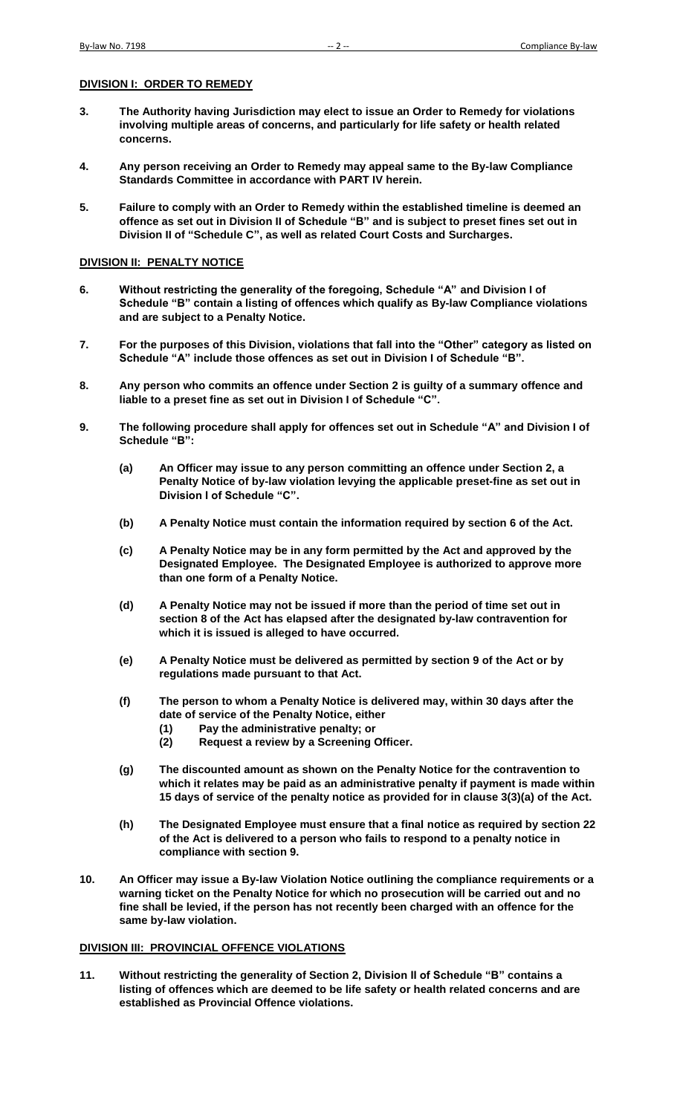#### **DIVISION I: ORDER TO REMEDY**

- **3. The Authority having Jurisdiction may elect to issue an Order to Remedy for violations involving multiple areas of concerns, and particularly for life safety or health related concerns.**
- **4. Any person receiving an Order to Remedy may appeal same to the By-law Compliance Standards Committee in accordance with PART IV herein.**
- **5. Failure to comply with an Order to Remedy within the established timeline is deemed an offence as set out in Division II of Schedule "B" and is subject to preset fines set out in Division II of "Schedule C", as well as related Court Costs and Surcharges.**

#### **DIVISION II: PENALTY NOTICE**

- **6. Without restricting the generality of the foregoing, Schedule "A" and Division I of Schedule "B" contain a listing of offences which qualify as By-law Compliance violations and are subject to a Penalty Notice.**
- **7. For the purposes of this Division, violations that fall into the "Other" category as listed on Schedule "A" include those offences as set out in Division I of Schedule "B".**
- **8. Any person who commits an offence under Section 2 is guilty of a summary offence and liable to a preset fine as set out in Division I of Schedule "C".**
- **9. The following procedure shall apply for offences set out in Schedule "A" and Division I of Schedule "B":** 
	- **(a) An Officer may issue to any person committing an offence under Section 2, a Penalty Notice of by-law violation levying the applicable preset-fine as set out in Division I of Schedule "C".**
	- **(b) A Penalty Notice must contain the information required by section 6 of the Act.**
	- **(c) A Penalty Notice may be in any form permitted by the Act and approved by the Designated Employee. The Designated Employee is authorized to approve more than one form of a Penalty Notice.**
	- **(d) A Penalty Notice may not be issued if more than the period of time set out in section 8 of the Act has elapsed after the designated by-law contravention for which it is issued is alleged to have occurred.**
	- **(e) A Penalty Notice must be delivered as permitted by section 9 of the Act or by regulations made pursuant to that Act.**
	- **(f) The person to whom a Penalty Notice is delivered may, within 30 days after the date of service of the Penalty Notice, either** 
		- **(1) Pay the administrative penalty; or**
		- **(2) Request a review by a Screening Officer.**
	- **(g) The discounted amount as shown on the Penalty Notice for the contravention to which it relates may be paid as an administrative penalty if payment is made within 15 days of service of the penalty notice as provided for in clause 3(3)(a) of the Act.**
	- **(h) The Designated Employee must ensure that a final notice as required by section 22 of the Act is delivered to a person who fails to respond to a penalty notice in compliance with section 9.**
- **10. An Officer may issue a By-law Violation Notice outlining the compliance requirements or a warning ticket on the Penalty Notice for which no prosecution will be carried out and no fine shall be levied, if the person has not recently been charged with an offence for the same by-law violation.**

#### **DIVISION III: PROVINCIAL OFFENCE VIOLATIONS**

**11. Without restricting the generality of Section 2, Division II of Schedule "B" contains a listing of offences which are deemed to be life safety or health related concerns and are established as Provincial Offence violations.**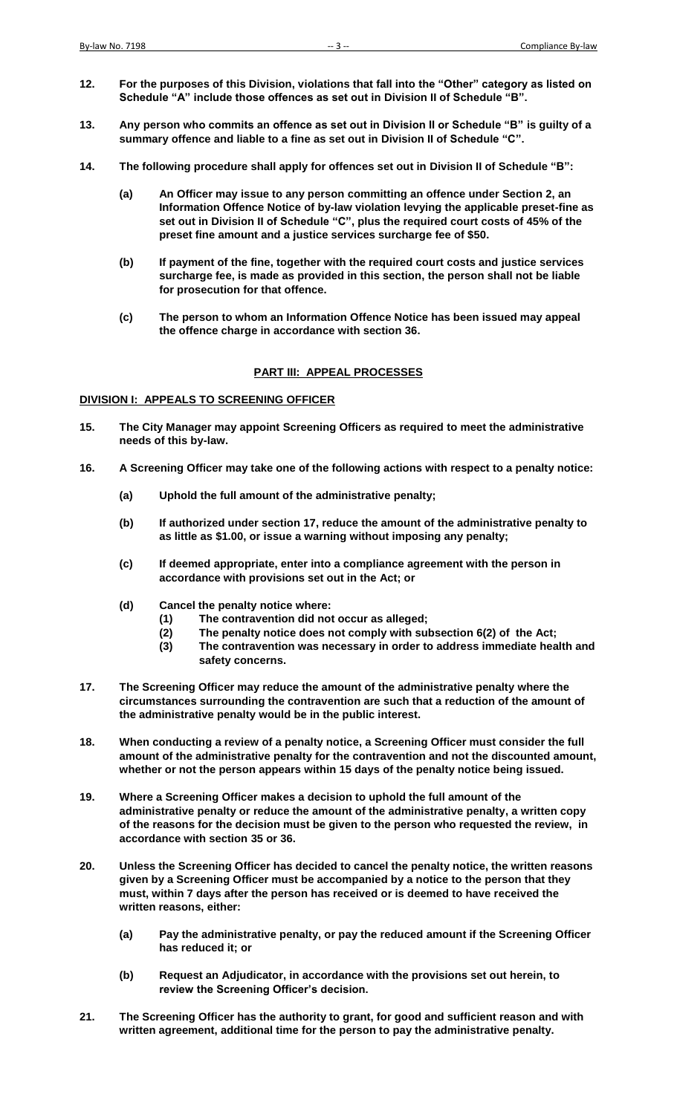- **12. For the purposes of this Division, violations that fall into the "Other" category as listed on Schedule "A" include those offences as set out in Division II of Schedule "B".**
- **13. Any person who commits an offence as set out in Division II or Schedule "B" is guilty of a summary offence and liable to a fine as set out in Division II of Schedule "C".**
- **14. The following procedure shall apply for offences set out in Division II of Schedule "B":** 
	- **(a) An Officer may issue to any person committing an offence under Section 2, an Information Offence Notice of by-law violation levying the applicable preset-fine as set out in Division II of Schedule "C", plus the required court costs of 45% of the preset fine amount and a justice services surcharge fee of \$50.**
	- **(b) If payment of the fine, together with the required court costs and justice services surcharge fee, is made as provided in this section, the person shall not be liable for prosecution for that offence.**
	- **(c) The person to whom an Information Offence Notice has been issued may appeal the offence charge in accordance with section 36.**

#### **PART III: APPEAL PROCESSES**

#### **DIVISION I: APPEALS TO SCREENING OFFICER**

- **15. The City Manager may appoint Screening Officers as required to meet the administrative needs of this by-law.**
- **16. A Screening Officer may take one of the following actions with respect to a penalty notice:** 
	- **(a) Uphold the full amount of the administrative penalty;**
	- **(b) If authorized under section 17, reduce the amount of the administrative penalty to as little as \$1.00, or issue a warning without imposing any penalty;**
	- **(c) If deemed appropriate, enter into a compliance agreement with the person in accordance with provisions set out in the Act; or**
	- **(d) Cancel the penalty notice where:** 
		- **(1) The contravention did not occur as alleged;**
		- **(2) The penalty notice does not comply with subsection 6(2) of the Act;**
		- **(3) The contravention was necessary in order to address immediate health and safety concerns.**
- **17. The Screening Officer may reduce the amount of the administrative penalty where the circumstances surrounding the contravention are such that a reduction of the amount of the administrative penalty would be in the public interest.**
- **18. When conducting a review of a penalty notice, a Screening Officer must consider the full amount of the administrative penalty for the contravention and not the discounted amount, whether or not the person appears within 15 days of the penalty notice being issued.**
- **19. Where a Screening Officer makes a decision to uphold the full amount of the administrative penalty or reduce the amount of the administrative penalty, a written copy of the reasons for the decision must be given to the person who requested the review, in accordance with section 35 or 36.**
- **20. Unless the Screening Officer has decided to cancel the penalty notice, the written reasons given by a Screening Officer must be accompanied by a notice to the person that they must, within 7 days after the person has received or is deemed to have received the written reasons, either:** 
	- **(a) Pay the administrative penalty, or pay the reduced amount if the Screening Officer has reduced it; or**
	- **(b) Request an Adjudicator, in accordance with the provisions set out herein, to review the Screening Officer's decision.**
- **21. The Screening Officer has the authority to grant, for good and sufficient reason and with written agreement, additional time for the person to pay the administrative penalty.**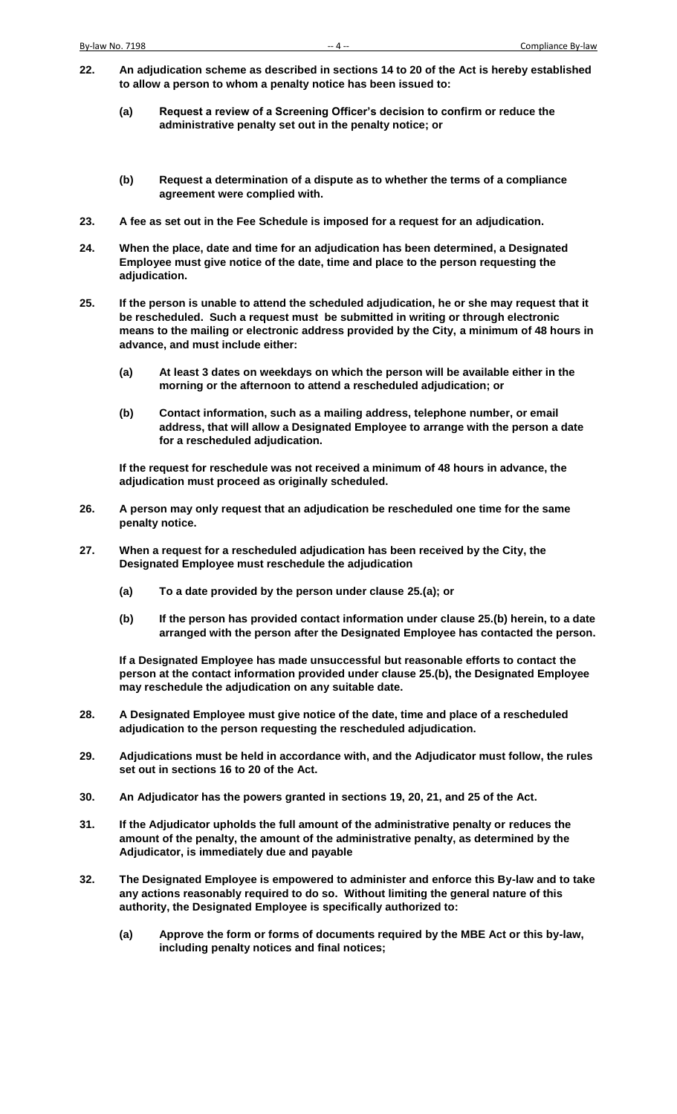- **22. An adjudication scheme as described in sections 14 to 20 of the Act is hereby established to allow a person to whom a penalty notice has been issued to:** 
	- **(a) Request a review of a Screening Officer's decision to confirm or reduce the administrative penalty set out in the penalty notice; or**
	- **(b) Request a determination of a dispute as to whether the terms of a compliance agreement were complied with.**
- **23. A fee as set out in the Fee Schedule is imposed for a request for an adjudication.**
- **24. When the place, date and time for an adjudication has been determined, a Designated Employee must give notice of the date, time and place to the person requesting the adjudication.**
- **25. If the person is unable to attend the scheduled adjudication, he or she may request that it be rescheduled. Such a request must be submitted in writing or through electronic means to the mailing or electronic address provided by the City, a minimum of 48 hours in advance, and must include either:** 
	- **(a) At least 3 dates on weekdays on which the person will be available either in the morning or the afternoon to attend a rescheduled adjudication; or**
	- **(b) Contact information, such as a mailing address, telephone number, or email address, that will allow a Designated Employee to arrange with the person a date for a rescheduled adjudication.**

**If the request for reschedule was not received a minimum of 48 hours in advance, the adjudication must proceed as originally scheduled.** 

- **26. A person may only request that an adjudication be rescheduled one time for the same penalty notice.**
- **27. When a request for a rescheduled adjudication has been received by the City, the Designated Employee must reschedule the adjudication** 
	- **(a) To a date provided by the person under clause 25.(a); or**
	- **(b) If the person has provided contact information under clause 25.(b) herein, to a date arranged with the person after the Designated Employee has contacted the person.**

**If a Designated Employee has made unsuccessful but reasonable efforts to contact the person at the contact information provided under clause 25.(b), the Designated Employee may reschedule the adjudication on any suitable date.** 

- **28. A Designated Employee must give notice of the date, time and place of a rescheduled adjudication to the person requesting the rescheduled adjudication.**
- **29. Adjudications must be held in accordance with, and the Adjudicator must follow, the rules set out in sections 16 to 20 of the Act.**
- **30. An Adjudicator has the powers granted in sections 19, 20, 21, and 25 of the Act.**
- **31. If the Adjudicator upholds the full amount of the administrative penalty or reduces the amount of the penalty, the amount of the administrative penalty, as determined by the Adjudicator, is immediately due and payable**
- **32. The Designated Employee is empowered to administer and enforce this By-law and to take any actions reasonably required to do so. Without limiting the general nature of this authority, the Designated Employee is specifically authorized to:** 
	- **(a) Approve the form or forms of documents required by the MBE Act or this by-law, including penalty notices and final notices;**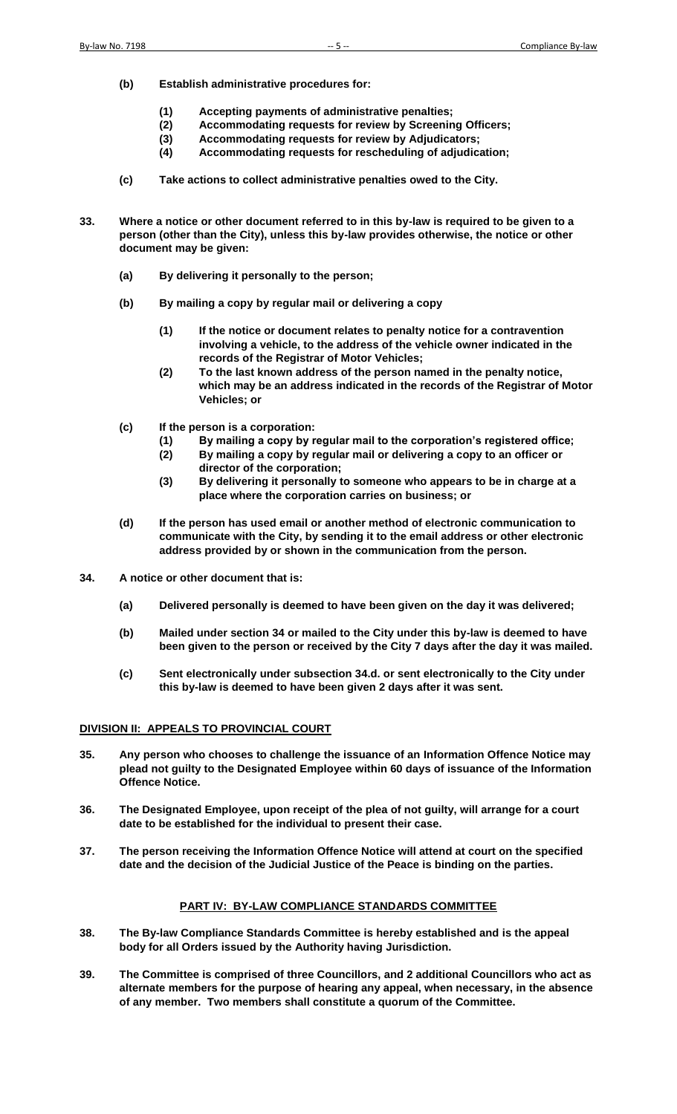- **(b) Establish administrative procedures for:** 
	- **(1) Accepting payments of administrative penalties;**
	- **(2) Accommodating requests for review by Screening Officers;**
	- **(3) Accommodating requests for review by Adjudicators;**
	- **(4) Accommodating requests for rescheduling of adjudication;**
- **(c) Take actions to collect administrative penalties owed to the City.**
- **33. Where a notice or other document referred to in this by-law is required to be given to a person (other than the City), unless this by-law provides otherwise, the notice or other document may be given:** 
	- **(a) By delivering it personally to the person;**
	- **(b) By mailing a copy by regular mail or delivering a copy** 
		- **(1) If the notice or document relates to penalty notice for a contravention involving a vehicle, to the address of the vehicle owner indicated in the records of the Registrar of Motor Vehicles;**
		- **(2) To the last known address of the person named in the penalty notice, which may be an address indicated in the records of the Registrar of Motor Vehicles; or**
	- **(c) If the person is a corporation:** 
		- **(1) By mailing a copy by regular mail to the corporation's registered office;**
		- **(2) By mailing a copy by regular mail or delivering a copy to an officer or director of the corporation;**
		- **(3) By delivering it personally to someone who appears to be in charge at a place where the corporation carries on business; or**
	- **(d) If the person has used email or another method of electronic communication to communicate with the City, by sending it to the email address or other electronic address provided by or shown in the communication from the person.**
- **34. A notice or other document that is:** 
	- **(a) Delivered personally is deemed to have been given on the day it was delivered;**
	- **(b) Mailed under section 34 or mailed to the City under this by-law is deemed to have been given to the person or received by the City 7 days after the day it was mailed.**
	- **(c) Sent electronically under subsection 34.d. or sent electronically to the City under this by-law is deemed to have been given 2 days after it was sent.**

## **DIVISION II: APPEALS TO PROVINCIAL COURT**

- **35. Any person who chooses to challenge the issuance of an Information Offence Notice may plead not guilty to the Designated Employee within 60 days of issuance of the Information Offence Notice.**
- **36. The Designated Employee, upon receipt of the plea of not guilty, will arrange for a court date to be established for the individual to present their case.**
- **37. The person receiving the Information Offence Notice will attend at court on the specified date and the decision of the Judicial Justice of the Peace is binding on the parties.**

# **PART IV: BY-LAW COMPLIANCE STANDARDS COMMITTEE**

- **38. The By-law Compliance Standards Committee is hereby established and is the appeal body for all Orders issued by the Authority having Jurisdiction.**
- **39. The Committee is comprised of three Councillors, and 2 additional Councillors who act as alternate members for the purpose of hearing any appeal, when necessary, in the absence of any member. Two members shall constitute a quorum of the Committee.**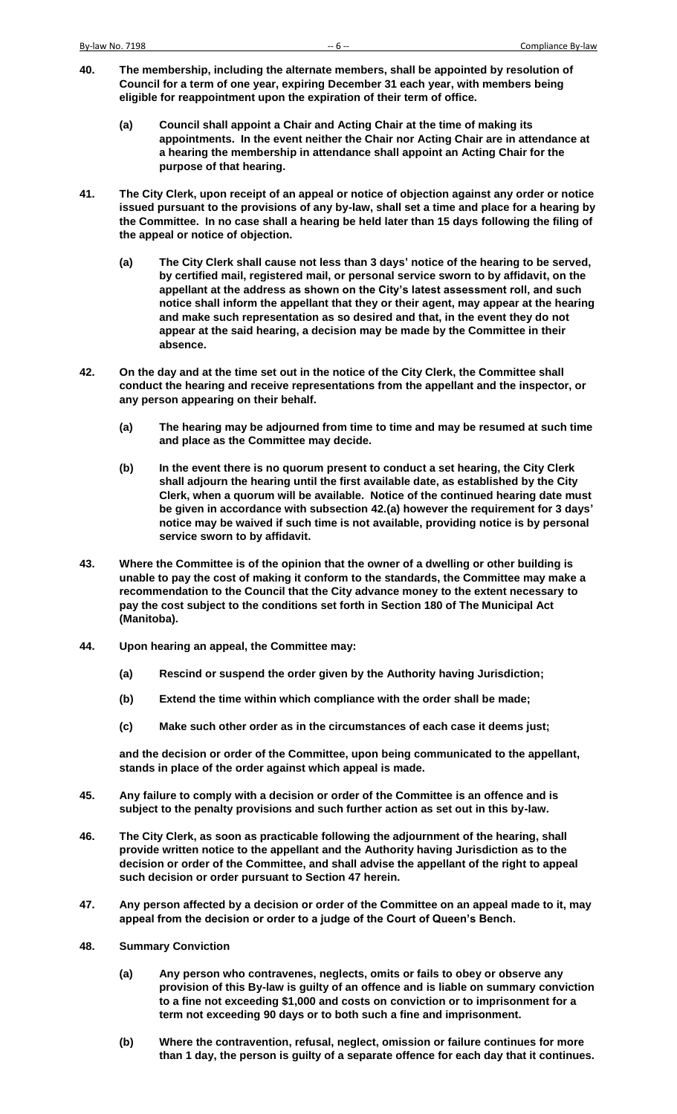- **40. The membership, including the alternate members, shall be appointed by resolution of Council for a term of one year, expiring December 31 each year, with members being eligible for reappointment upon the expiration of their term of office.** 
	- **(a) Council shall appoint a Chair and Acting Chair at the time of making its appointments. In the event neither the Chair nor Acting Chair are in attendance at a hearing the membership in attendance shall appoint an Acting Chair for the purpose of that hearing.**
- **41. The City Clerk, upon receipt of an appeal or notice of objection against any order or notice issued pursuant to the provisions of any by-law, shall set a time and place for a hearing by the Committee. In no case shall a hearing be held later than 15 days following the filing of the appeal or notice of objection.** 
	- **(a) The City Clerk shall cause not less than 3 days' notice of the hearing to be served, by certified mail, registered mail, or personal service sworn to by affidavit, on the appellant at the address as shown on the City's latest assessment roll, and such notice shall inform the appellant that they or their agent, may appear at the hearing and make such representation as so desired and that, in the event they do not appear at the said hearing, a decision may be made by the Committee in their absence.**
- **42. On the day and at the time set out in the notice of the City Clerk, the Committee shall conduct the hearing and receive representations from the appellant and the inspector, or any person appearing on their behalf.** 
	- **(a) The hearing may be adjourned from time to time and may be resumed at such time and place as the Committee may decide.**
	- **(b) In the event there is no quorum present to conduct a set hearing, the City Clerk shall adjourn the hearing until the first available date, as established by the City Clerk, when a quorum will be available. Notice of the continued hearing date must be given in accordance with subsection 42.(a) however the requirement for 3 days' notice may be waived if such time is not available, providing notice is by personal service sworn to by affidavit.**
- **43. Where the Committee is of the opinion that the owner of a dwelling or other building is unable to pay the cost of making it conform to the standards, the Committee may make a recommendation to the Council that the City advance money to the extent necessary to pay the cost subject to the conditions set forth in Section 180 of The Municipal Act (Manitoba).**
- **44. Upon hearing an appeal, the Committee may:** 
	- **(a) Rescind or suspend the order given by the Authority having Jurisdiction;**
	- **(b) Extend the time within which compliance with the order shall be made;**
	- **(c) Make such other order as in the circumstances of each case it deems just;**

**and the decision or order of the Committee, upon being communicated to the appellant, stands in place of the order against which appeal is made.** 

- **45. Any failure to comply with a decision or order of the Committee is an offence and is subject to the penalty provisions and such further action as set out in this by-law.**
- **46. The City Clerk, as soon as practicable following the adjournment of the hearing, shall provide written notice to the appellant and the Authority having Jurisdiction as to the decision or order of the Committee, and shall advise the appellant of the right to appeal such decision or order pursuant to Section 47 herein.**
- **47. Any person affected by a decision or order of the Committee on an appeal made to it, may appeal from the decision or order to a judge of the Court of Queen's Bench.**
- **48. Summary Conviction** 
	- **(a) Any person who contravenes, neglects, omits or fails to obey or observe any provision of this By-law is guilty of an offence and is liable on summary conviction to a fine not exceeding \$1,000 and costs on conviction or to imprisonment for a term not exceeding 90 days or to both such a fine and imprisonment.**
	- **(b) Where the contravention, refusal, neglect, omission or failure continues for more than 1 day, the person is guilty of a separate offence for each day that it continues.**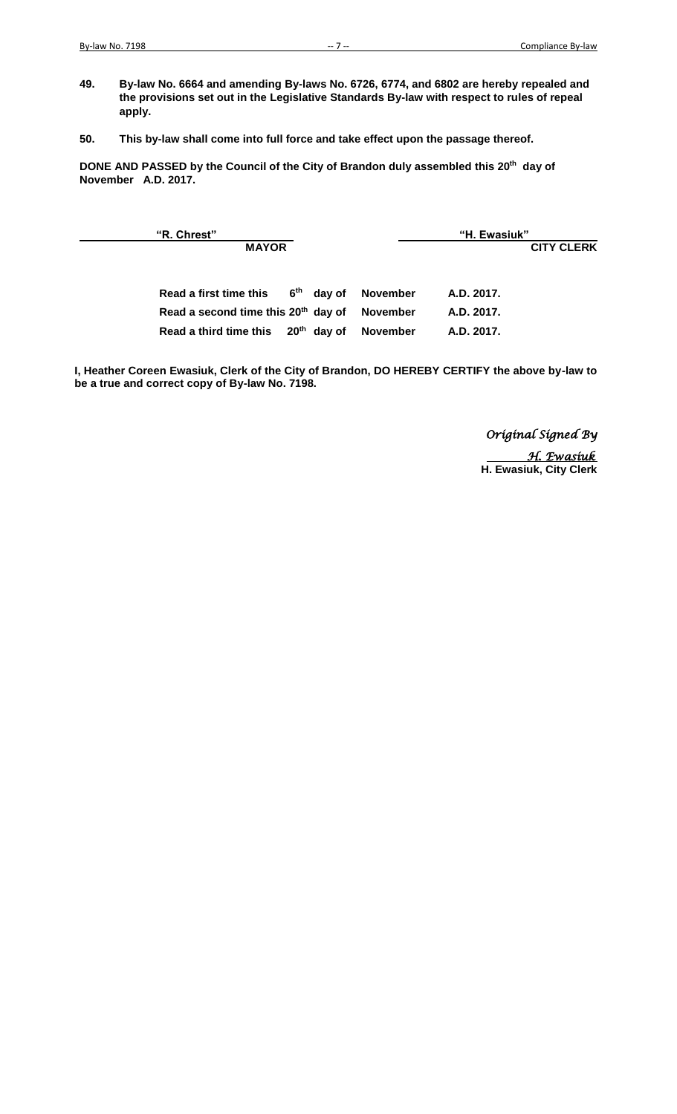- **49. By-law No. 6664 and amending By-laws No. 6726, 6774, and 6802 are hereby repealed and the provisions set out in the Legislative Standards By-law with respect to rules of repeal apply.**
- **50. This by-law shall come into full force and take effect upon the passage thereof.**

**DONE AND PASSED by the Council of the City of Brandon duly assembled this 20th day of November A.D. 2017.** 

 **"R. Chrest" "H. Ewasiuk" MAYOR CITY CLERK** Read a first time this 6<sup>th</sup> day of **November A.D. 2017. Read a second time this 20th day of November A.D. 2017. Read a third time this 20th day of November A.D. 2017.**

**I, Heather Coreen Ewasiuk, Clerk of the City of Brandon, DO HEREBY CERTIFY the above by-law to be a true and correct copy of By-law No. 7198.**

> *Original Signed By H. Ewasiuk*  **H. Ewasiuk, City Clerk**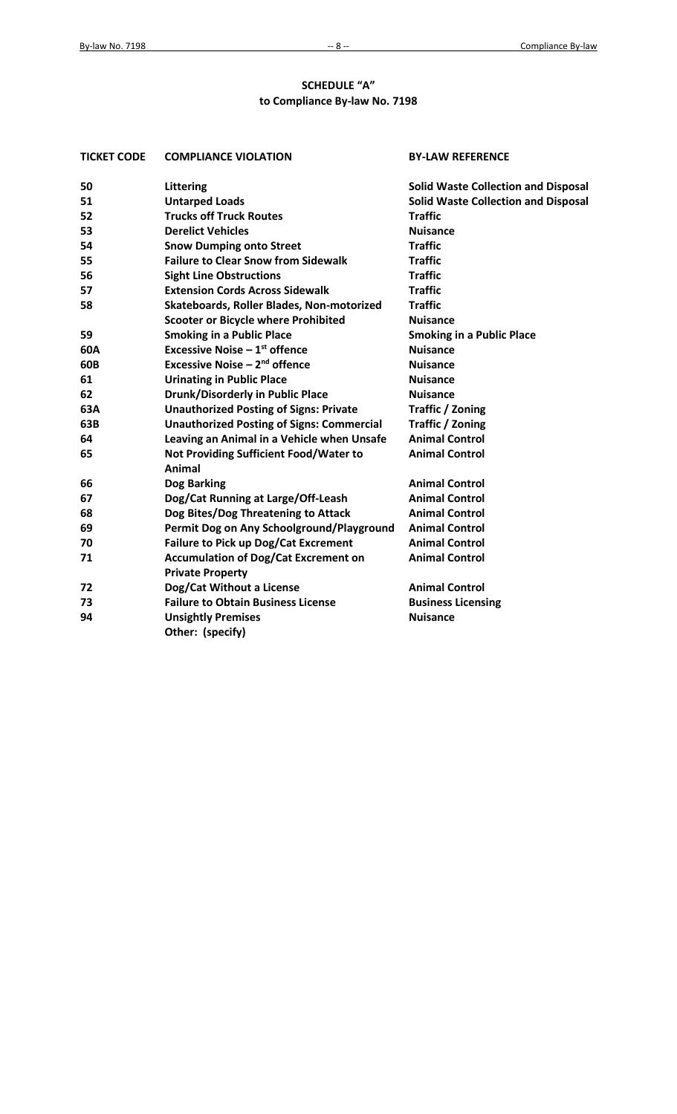## **SCHEDULE "A" to Compliance By-law No. 7198**

| <b>TICKET CODE</b><br><b>COMPLIANCE VIOLATION</b> |                                                                        | <b>BY-LAW REFERENCE</b>                    |
|---------------------------------------------------|------------------------------------------------------------------------|--------------------------------------------|
| 50                                                | Littering                                                              | <b>Solid Waste Collection and Disposal</b> |
| 51                                                | <b>Untarped Loads</b>                                                  | <b>Solid Waste Collection and Disposal</b> |
| 52                                                | <b>Trucks off Truck Routes</b>                                         | <b>Traffic</b>                             |
| 53                                                | <b>Derelict Vehicles</b>                                               | <b>Nuisance</b>                            |
| 54                                                | <b>Snow Dumping onto Street</b>                                        | <b>Traffic</b>                             |
| 55                                                | <b>Failure to Clear Snow from Sidewalk</b>                             | <b>Traffic</b>                             |
| 56                                                | <b>Sight Line Obstructions</b>                                         | <b>Traffic</b>                             |
| 57                                                | <b>Extension Cords Across Sidewalk</b>                                 | <b>Traffic</b>                             |
| 58                                                | Skateboards, Roller Blades, Non-motorized                              | <b>Traffic</b>                             |
|                                                   | <b>Scooter or Bicycle where Prohibited</b>                             | <b>Nuisance</b>                            |
| 59                                                | <b>Smoking in a Public Place</b>                                       | <b>Smoking in a Public Place</b>           |
| 60A                                               | <b>Excessive Noise - 1st offence</b>                                   | <b>Nuisance</b>                            |
| 60B                                               | <b>Excessive Noise - 2nd offence</b>                                   | <b>Nuisance</b>                            |
| 61                                                | <b>Urinating in Public Place</b>                                       | <b>Nuisance</b>                            |
| 62                                                | <b>Drunk/Disorderly in Public Place</b>                                | <b>Nuisance</b>                            |
| 63A                                               | <b>Unauthorized Posting of Signs: Private</b>                          | <b>Traffic / Zoning</b>                    |
| 63B                                               | <b>Unauthorized Posting of Signs: Commercial</b>                       | Traffic / Zoning                           |
| 64                                                | Leaving an Animal in a Vehicle when Unsafe                             | <b>Animal Control</b>                      |
| 65                                                | Not Providing Sufficient Food/Water to<br>Animal                       | <b>Animal Control</b>                      |
| 66                                                | Dog Barking                                                            | <b>Animal Control</b>                      |
| 67                                                | Dog/Cat Running at Large/Off-Leash                                     | <b>Animal Control</b>                      |
| 68                                                | Dog Bites/Dog Threatening to Attack                                    | <b>Animal Control</b>                      |
| 69                                                | Permit Dog on Any Schoolground/Playground                              | <b>Animal Control</b>                      |
| 70                                                | <b>Failure to Pick up Dog/Cat Excrement</b>                            | <b>Animal Control</b>                      |
| 71                                                | <b>Accumulation of Dog/Cat Excrement on</b><br><b>Private Property</b> | <b>Animal Control</b>                      |
| 72                                                | Dog/Cat Without a License                                              | <b>Animal Control</b>                      |
| 73                                                | <b>Failure to Obtain Business License</b>                              | <b>Business Licensing</b>                  |
| 94                                                | <b>Unsightly Premises</b><br>Other: (specify)                          | <b>Nuisance</b>                            |
|                                                   |                                                                        |                                            |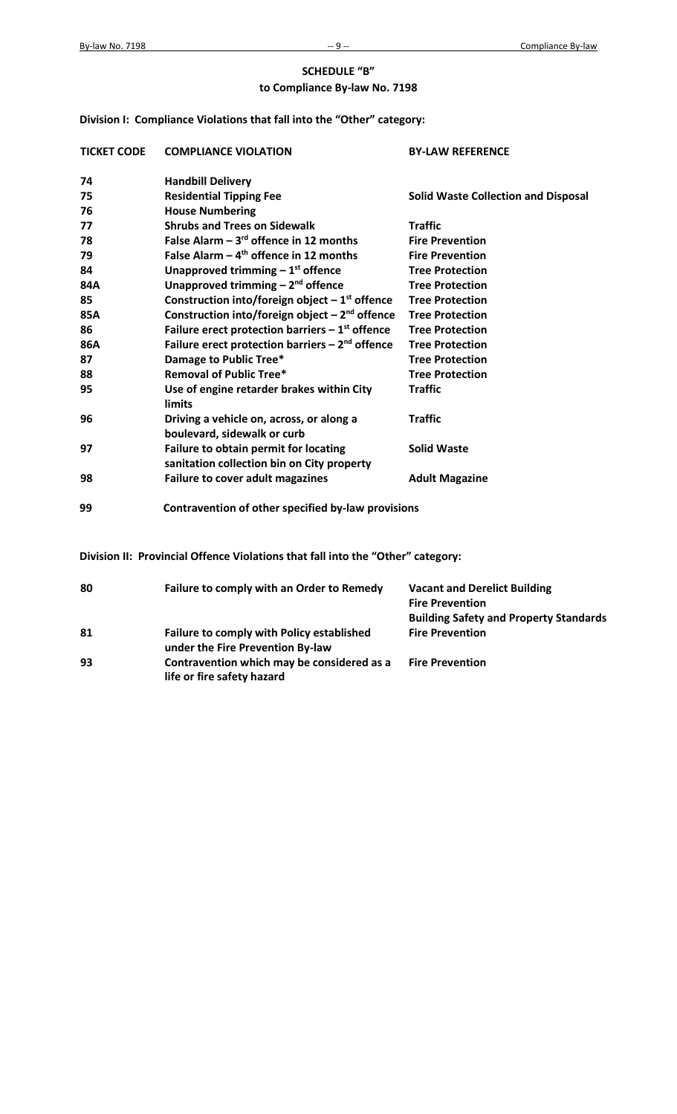## **SCHEDULE "B" to Compliance By-law No. 7198**

**Division I: Compliance Violations that fall into the "Other" category:** 

| <b>TICKET CODE</b> | <b>COMPLIANCE VIOLATION</b>                                                         | <b>BY-LAW REFERENCE</b>                    |
|--------------------|-------------------------------------------------------------------------------------|--------------------------------------------|
| 74                 | <b>Handbill Delivery</b>                                                            |                                            |
| 75                 | <b>Residential Tipping Fee</b>                                                      | <b>Solid Waste Collection and Disposal</b> |
| 76                 | <b>House Numbering</b>                                                              |                                            |
| 77                 | <b>Shrubs and Trees on Sidewalk</b>                                                 | <b>Traffic</b>                             |
| 78                 | False Alarm $-3^{rd}$ offence in 12 months                                          | <b>Fire Prevention</b>                     |
| 79                 | False Alarm $-4$ <sup>th</sup> offence in 12 months                                 | <b>Fire Prevention</b>                     |
| 84                 | Unapproved trimming $-1st$ offence                                                  | <b>Tree Protection</b>                     |
| 84A                | Unapproved trimming $-2^{nd}$ offence                                               | <b>Tree Protection</b>                     |
| 85                 | Construction into/foreign object $-1^{st}$ offence                                  | <b>Tree Protection</b>                     |
| 85A                | Construction into/foreign object $-2nd$ offence                                     | <b>Tree Protection</b>                     |
| 86                 | Failure erect protection barriers $-1st$ offence                                    | <b>Tree Protection</b>                     |
| 86A                | Failure erect protection barriers $-2nd$ offence                                    | <b>Tree Protection</b>                     |
| 87                 | <b>Damage to Public Tree*</b>                                                       | <b>Tree Protection</b>                     |
| 88                 | <b>Removal of Public Tree*</b>                                                      | <b>Tree Protection</b>                     |
| 95                 | Use of engine retarder brakes within City<br><b>limits</b>                          | <b>Traffic</b>                             |
| 96                 | Driving a vehicle on, across, or along a<br>boulevard, sidewalk or curb             | <b>Traffic</b>                             |
| 97                 | Failure to obtain permit for locating<br>sanitation collection bin on City property | <b>Solid Waste</b>                         |
| 98                 | <b>Failure to cover adult magazines</b>                                             | <b>Adult Magazine</b>                      |
| 99                 | Contravention of other specified by-law provisions                                  |                                            |

**Division II: Provincial Offence Violations that fall into the "Other" category:** 

| 80 | Failure to comply with an Order to Remedy                                     | <b>Vacant and Derelict Building</b>           |
|----|-------------------------------------------------------------------------------|-----------------------------------------------|
|    |                                                                               | <b>Fire Prevention</b>                        |
|    |                                                                               | <b>Building Safety and Property Standards</b> |
| 81 | Failure to comply with Policy established<br>under the Fire Prevention By-law | <b>Fire Prevention</b>                        |
| 93 | Contravention which may be considered as a<br>life or fire safety hazard      | <b>Fire Prevention</b>                        |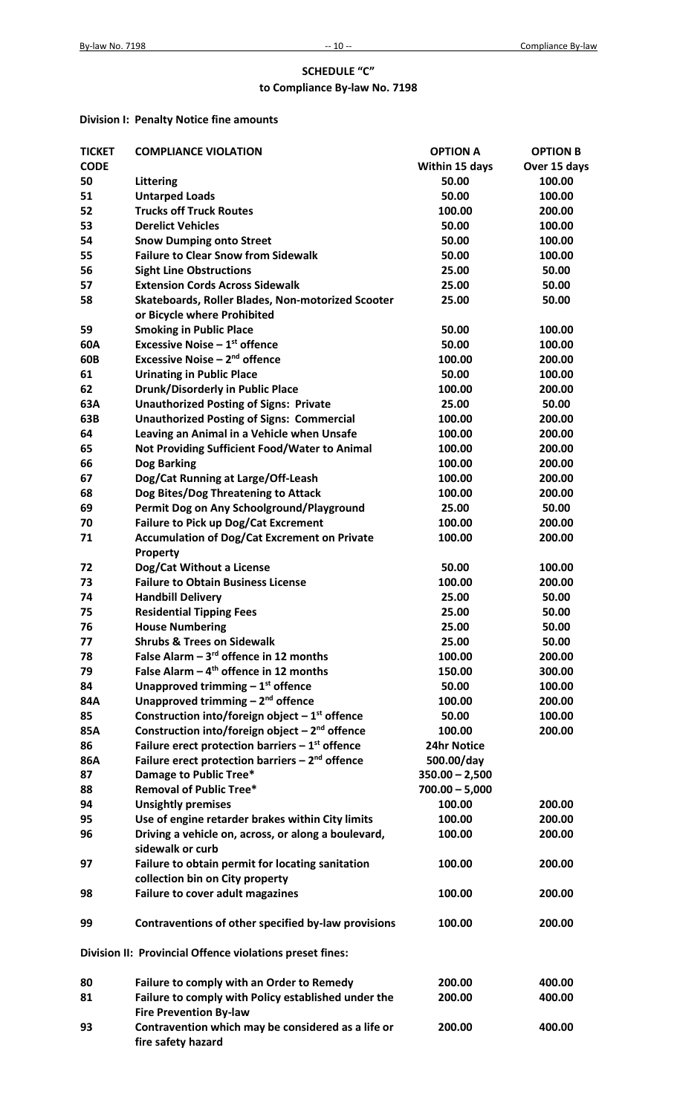## **SCHEDULE "C" to Compliance By-law No. 7198**

## **Division I: Penalty Notice fine amounts**

| <b>TICKET</b> | <b>COMPLIANCE VIOLATION</b>                              | <b>OPTION A</b>  | <b>OPTION B</b> |
|---------------|----------------------------------------------------------|------------------|-----------------|
| <b>CODE</b>   |                                                          | Within 15 days   | Over 15 days    |
| 50            | Littering                                                | 50.00            | 100.00          |
| 51            | <b>Untarped Loads</b>                                    | 50.00            | 100.00          |
| 52            | <b>Trucks off Truck Routes</b>                           | 100.00           | 200.00          |
| 53            | <b>Derelict Vehicles</b>                                 | 50.00            | 100.00          |
| 54            | <b>Snow Dumping onto Street</b>                          | 50.00            | 100.00          |
| 55            | <b>Failure to Clear Snow from Sidewalk</b>               | 50.00            | 100.00          |
| 56            | <b>Sight Line Obstructions</b>                           | 25.00            | 50.00           |
| 57            | <b>Extension Cords Across Sidewalk</b>                   | 25.00            | 50.00           |
| 58            | Skateboards, Roller Blades, Non-motorized Scooter        | 25.00            | 50.00           |
|               | or Bicycle where Prohibited                              |                  |                 |
| 59            | <b>Smoking in Public Place</b>                           | 50.00            | 100.00          |
| 60A           | <b>Excessive Noise - 1st offence</b>                     | 50.00            | 100.00          |
| 60B           | Excessive Noise - 2 <sup>nd</sup> offence                | 100.00           | 200.00          |
| 61            | <b>Urinating in Public Place</b>                         | 50.00            | 100.00          |
|               |                                                          |                  |                 |
| 62            | <b>Drunk/Disorderly in Public Place</b>                  | 100.00           | 200.00          |
| 63A           | <b>Unauthorized Posting of Signs: Private</b>            | 25.00            | 50.00           |
| 63B           | <b>Unauthorized Posting of Signs: Commercial</b>         | 100.00           | 200.00          |
| 64            | Leaving an Animal in a Vehicle when Unsafe               | 100.00           | 200.00          |
| 65            | Not Providing Sufficient Food/Water to Animal            | 100.00           | 200.00          |
| 66            | Dog Barking                                              | 100.00           | 200.00          |
| 67            | Dog/Cat Running at Large/Off-Leash                       | 100.00           | 200.00          |
| 68            | Dog Bites/Dog Threatening to Attack                      | 100.00           | 200.00          |
| 69            | Permit Dog on Any Schoolground/Playground                | 25.00            | 50.00           |
| 70            | Failure to Pick up Dog/Cat Excrement                     | 100.00           | 200.00          |
| 71            | <b>Accumulation of Dog/Cat Excrement on Private</b>      | 100.00           | 200.00          |
|               | Property                                                 |                  |                 |
| 72            | Dog/Cat Without a License                                | 50.00            | 100.00          |
| 73            | <b>Failure to Obtain Business License</b>                | 100.00           | 200.00          |
| 74            | <b>Handbill Delivery</b>                                 | 25.00            | 50.00           |
| 75            | <b>Residential Tipping Fees</b>                          | 25.00            | 50.00           |
| 76            | <b>House Numbering</b>                                   | 25.00            | 50.00           |
| 77            | <b>Shrubs &amp; Trees on Sidewalk</b>                    | 25.00            | 50.00           |
| 78            | False Alarm $-3^{rd}$ offence in 12 months               | 100.00           | 200.00          |
| 79            | False Alarm $-4$ <sup>th</sup> offence in 12 months      | 150.00           | 300.00          |
| 84            | Unapproved trimming $-1st$ offence                       | 50.00            | 100.00          |
| 84A           | Unapproved trimming $-2^{nd}$ offence                    | 100.00           | 200.00          |
| 85            | Construction into/foreign object $-1st$ offence          | 50.00            | 100.00          |
| 85A           | Construction into/foreign object $-2nd$ offence          | 100.00           | 200.00          |
| 86            | Failure erect protection barriers $-1st$ offence         | 24hr Notice      |                 |
|               |                                                          |                  |                 |
| 86A           | Failure erect protection barriers $-2nd$ offence         | 500.00/day       |                 |
| 87            | Damage to Public Tree*                                   | $350.00 - 2,500$ |                 |
| 88            | <b>Removal of Public Tree*</b>                           | $700.00 - 5,000$ |                 |
| 94            | <b>Unsightly premises</b>                                | 100.00           | 200.00          |
| 95            | Use of engine retarder brakes within City limits         | 100.00           | 200.00          |
| 96            | Driving a vehicle on, across, or along a boulevard,      | 100.00           | 200.00          |
|               | sidewalk or curb                                         |                  |                 |
| 97            | Failure to obtain permit for locating sanitation         | 100.00           | 200.00          |
|               | collection bin on City property                          |                  |                 |
| 98            | <b>Failure to cover adult magazines</b>                  | 100.00           | 200.00          |
|               |                                                          |                  |                 |
| 99            | Contraventions of other specified by-law provisions      | 100.00           | 200.00          |
|               |                                                          |                  |                 |
|               | Division II: Provincial Offence violations preset fines: |                  |                 |
|               |                                                          |                  |                 |
| 80            | Failure to comply with an Order to Remedy                | 200.00           | 400.00          |
| 81            | Failure to comply with Policy established under the      | 200.00           | 400.00          |
|               | <b>Fire Prevention By-law</b>                            |                  |                 |
| 93            | Contravention which may be considered as a life or       | 200.00           | 400.00          |
|               | fire safety hazard                                       |                  |                 |
|               |                                                          |                  |                 |